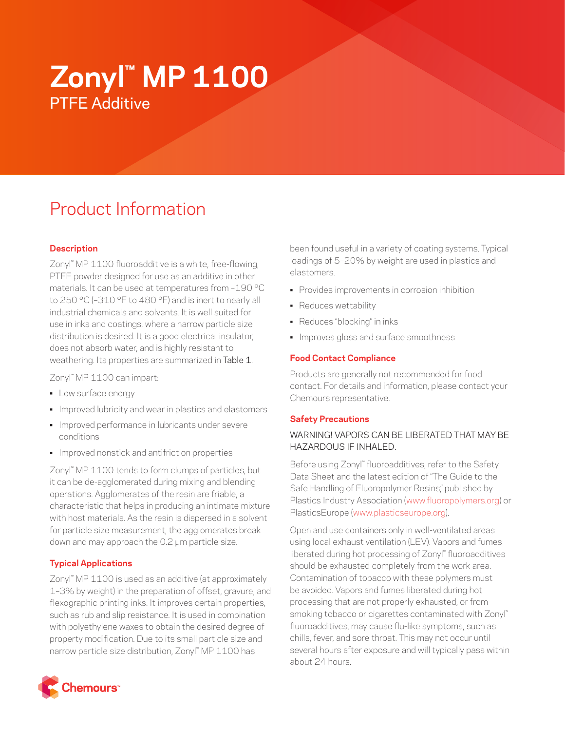# **Zonyl™ MP 1100** PTFE Additive

# Product Information

# **Description**

Zonyl™ MP 1100 fluoroadditive is a white, free-flowing, PTFE powder designed for use as an additive in other materials. It can be used at temperatures from –190 °C to 250 °C (–310 °F to 480 °F) and is inert to nearly all industrial chemicals and solvents. It is well suited for use in inks and coatings, where a narrow particle size distribution is desired. It is a good electrical insulator, does not absorb water, and is highly resistant to weathering. Its properties are summarized in Table 1.

Zonyl™ MP 1100 can impart:

- Low surface energy
- Improved lubricity and wear in plastics and elastomers
- Improved performance in lubricants under severe conditions
- Improved nonstick and antifriction properties

Zonyl™ MP 1100 tends to form clumps of particles, but it can be de-agglomerated during mixing and blending operations. Agglomerates of the resin are friable, a characteristic that helps in producing an intimate mixture with host materials. As the resin is dispersed in a solvent for particle size measurement, the agglomerates break down and may approach the 0.2 μm particle size.

#### **Typical Applications**

Zonyl™ MP 1100 is used as an additive (at approximately 1–3% by weight) in the preparation of offset, gravure, and flexographic printing inks. It improves certain properties, such as rub and slip resistance. It is used in combination with polyethylene waxes to obtain the desired degree of property modification. Due to its small particle size and narrow particle size distribution, Zonyl™ MP 1100 has



been found useful in a variety of coating systems. Typical loadings of 5–20% by weight are used in plastics and elastomers.

- Provides improvements in corrosion inhibition
- Reduces wettability
- Reduces "blocking" in inks
- Improves gloss and surface smoothness

### **Food Contact Compliance**

Products are generally not recommended for food contact. For details and information, please contact your Chemours representative.

#### **Safety Precautions**

# WARNING! VAPORS CAN BE LIBERATED THAT MAY BE HAZARDOUS IF INHALED.

Before using Zonyl™ fluoroadditives, refer to the Safety Data Sheet and the latest edition of "The Guide to the Safe Handling of Fluoropolymer Resins," published by Plastics Industry Association [\(www.fluoropolymers.org](http://www.fluoropolymers.org)) or PlasticsEurope ([www.plasticseurope.org](http://www.plasticseurope.org)).

Open and use containers only in well-ventilated areas using local exhaust ventilation (LEV). Vapors and fumes liberated during hot processing of Zonyl™ fluoroadditives should be exhausted completely from the work area. Contamination of tobacco with these polymers must be avoided. Vapors and fumes liberated during hot processing that are not properly exhausted, or from smoking tobacco or cigarettes contaminated with Zonyl™ fluoroadditives, may cause flu-like symptoms, such as chills, fever, and sore throat. This may not occur until several hours after exposure and will typically pass within about 24 hours.